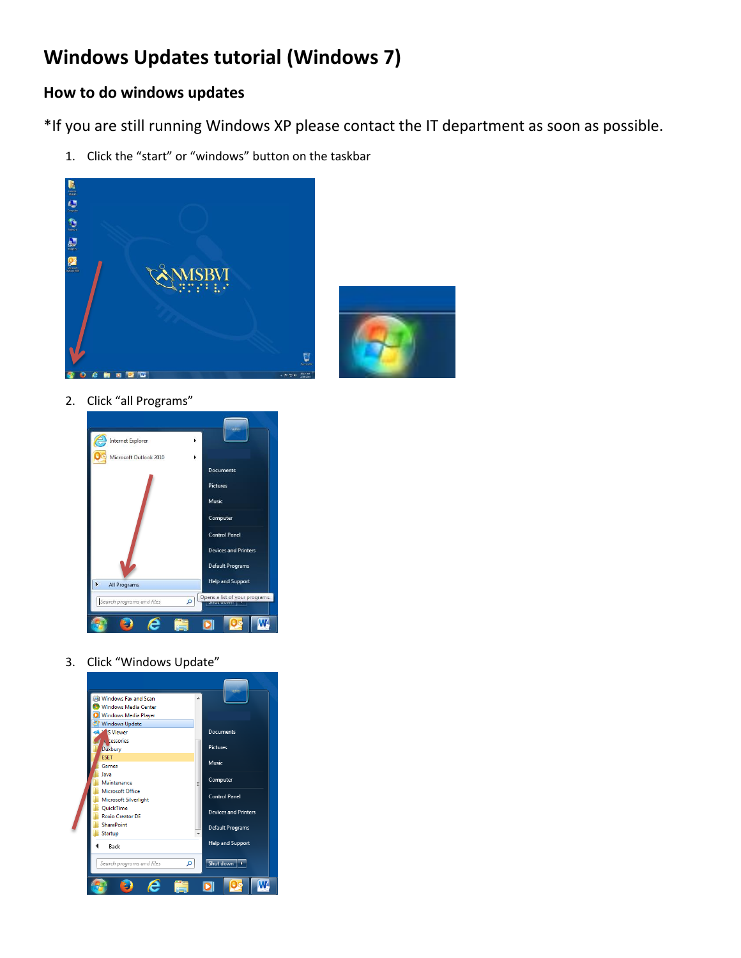# **Windows Updates tutorial (Windows 7)**

## **How to do windows updates**

\*If you are still running Windows XP please contact the IT department as soon as possible.

1. Click the "start" or "windows" button on the taskbar





2. Click "all Programs"



3. Click "Windows Update"

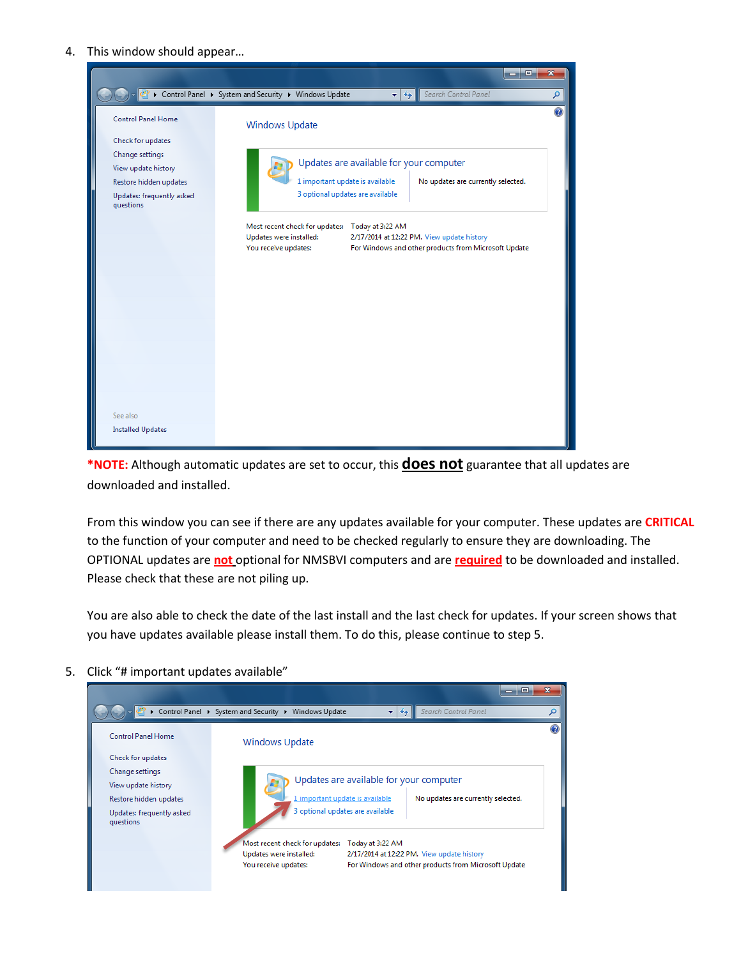4. This window should appear…



**\*NOTE:** Although automatic updates are set to occur, this **does not** guarantee that all updates are downloaded and installed.

From this window you can see if there are any updates available for your computer. These updates are **CRITICAL**  to the function of your computer and need to be checked regularly to ensure they are downloading. The OPTIONAL updates are **not** optional for NMSBVI computers and are **required** to be downloaded and installed. Please check that these are not piling up.

You are also able to check the date of the last install and the last check for updates. If your screen shows that you have updates available please install them. To do this, please continue to step 5.

5. Click "# important updates available"

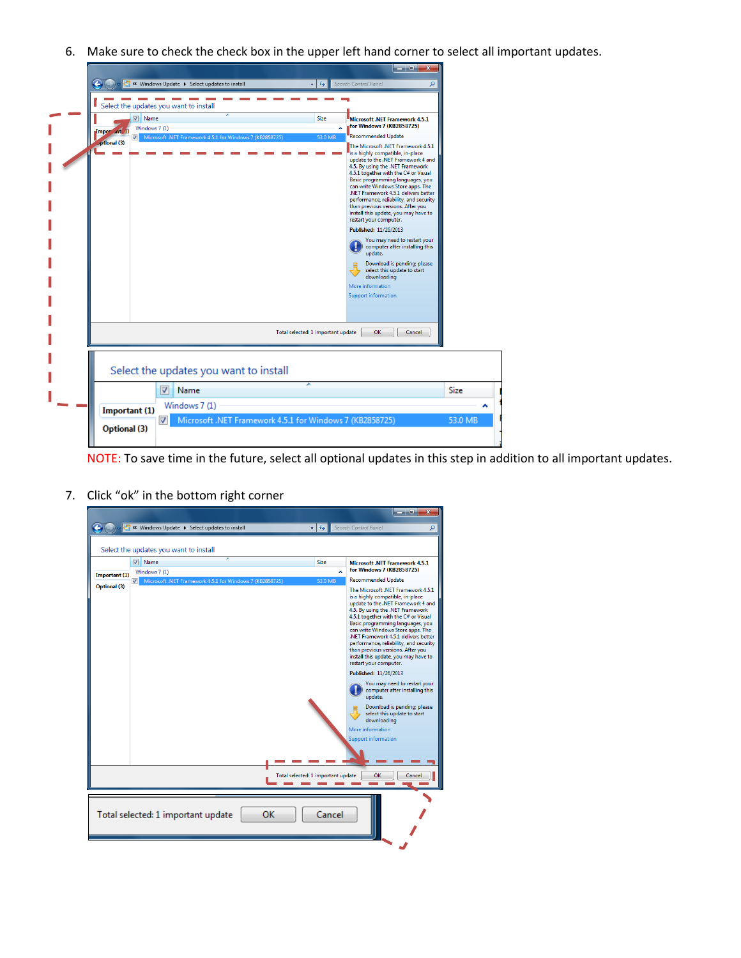6. Make sure to check the check box in the upper left hand corner to select all important updates.

|                                         |                                                                                                                                                              |                                                          | - -<br>$\boldsymbol{\mathsf{v}}$                                                                                                                                                                                                                                                                                                                                                                                                                                                                                                                                                                                                                                                                                                                                                                 |             |
|-----------------------------------------|--------------------------------------------------------------------------------------------------------------------------------------------------------------|----------------------------------------------------------|--------------------------------------------------------------------------------------------------------------------------------------------------------------------------------------------------------------------------------------------------------------------------------------------------------------------------------------------------------------------------------------------------------------------------------------------------------------------------------------------------------------------------------------------------------------------------------------------------------------------------------------------------------------------------------------------------------------------------------------------------------------------------------------------------|-------------|
|                                         | « Windows Update > Select updates to install                                                                                                                 | $+$<br>$\overline{\phantom{a}}$                          | Search Control Panel<br>م                                                                                                                                                                                                                                                                                                                                                                                                                                                                                                                                                                                                                                                                                                                                                                        |             |
| Important <sub>1</sub> )<br>ptional (3) | Select the updates you want to install<br>$\nabla$ Name<br>Windows 7 (1)<br>Microsoft .NET Framework 4.5.1 for Windows 7 (KB2858725)<br>$\blacktriangledown$ | <b>Size</b><br>53.0 MB                                   | Microsoft .NET Framework 4.5.1<br>for Windows 7 (KB2858725)<br>×<br><b>Recommended Update</b><br>The Microsoft .NET Framework 4.5.1<br>is a highly compatible, in-place<br>update to the .NET Framework 4 and<br>4.5. By using the .NET Framework<br>4.5.1 together with the C# or Visual<br>Basic programming languages, you<br>can write Windows Store apps. The<br>.NET Framework 4.5.1 delivers better<br>performance, reliability, and security<br>than previous versions. After you<br>install this update, you may have to<br>restart your computer.<br>Published: 11/26/2013<br>You may need to restart your<br>computer after installing this<br>update.<br>Download is pending; please<br>select this update to start<br>downloading<br>More information<br><b>Support information</b> |             |
|                                         |                                                                                                                                                              | Total selected: 1 important update                       | OK<br>Cancel                                                                                                                                                                                                                                                                                                                                                                                                                                                                                                                                                                                                                                                                                                                                                                                     |             |
|                                         | Select the updates you want to install                                                                                                                       |                                                          |                                                                                                                                                                                                                                                                                                                                                                                                                                                                                                                                                                                                                                                                                                                                                                                                  |             |
|                                         | V<br>Name                                                                                                                                                    | y                                                        |                                                                                                                                                                                                                                                                                                                                                                                                                                                                                                                                                                                                                                                                                                                                                                                                  | <b>Size</b> |
| Optional (3)                            | Windows 7(1)<br>Important (1)<br>$\overline{\mathbf{v}}$                                                                                                     | Microsoft .NET Framework 4.5.1 for Windows 7 (KB2858725) |                                                                                                                                                                                                                                                                                                                                                                                                                                                                                                                                                                                                                                                                                                                                                                                                  | 53.0 M      |

NOTE: To save time in the future, select all optional updates in this step in addition to all important updates.

 $\blacktriangle$ B.

7. Click "ok" in the bottom right corner

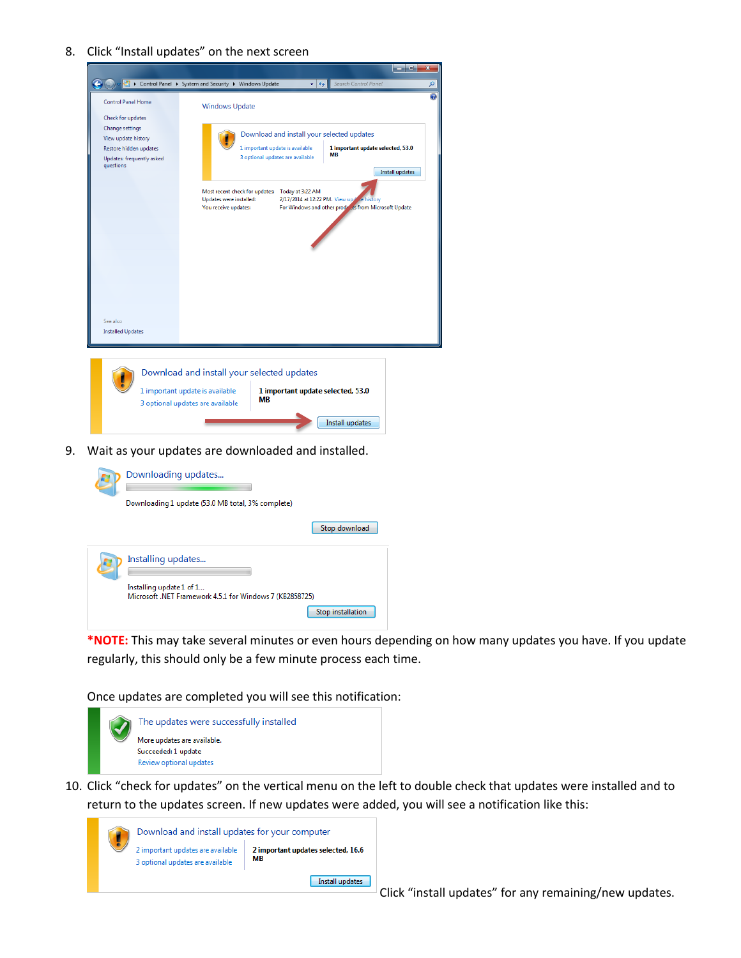8. Click "Install updates" on the next screen

|                                               | Control Panel > System and Security > Windows Update |                                  |                                                 | Search Control Panel<br>$+$                          |                 | م              |
|-----------------------------------------------|------------------------------------------------------|----------------------------------|-------------------------------------------------|------------------------------------------------------|-----------------|----------------|
| Control Panel Home                            | <b>Windows Update</b>                                |                                  |                                                 |                                                      |                 | $\circledcirc$ |
| Check for updates                             |                                                      |                                  |                                                 |                                                      |                 |                |
| <b>Change settings</b>                        |                                                      |                                  |                                                 | Download and install your selected updates           |                 |                |
| View update history<br>Restore hidden updates |                                                      | 1 important update is available  |                                                 | 1 important update selected, 53.0                    |                 |                |
| Updates: frequently asked                     |                                                      | 3 optional updates are available |                                                 | <b>MB</b>                                            |                 |                |
| questions                                     |                                                      |                                  |                                                 |                                                      |                 |                |
|                                               |                                                      |                                  |                                                 |                                                      | Install updates |                |
|                                               | Updates were installed:                              |                                  | Most recent check for updates: Today at 3:22 AM | 2/17/2014 at 12:22 PM. View upd te history           |                 |                |
|                                               | You receive updates:                                 |                                  |                                                 | For Windows and other products from Microsoft Update |                 |                |
|                                               |                                                      |                                  |                                                 |                                                      |                 |                |
|                                               |                                                      |                                  |                                                 |                                                      |                 |                |
|                                               |                                                      |                                  |                                                 |                                                      |                 |                |
|                                               |                                                      |                                  |                                                 |                                                      |                 |                |
|                                               |                                                      |                                  |                                                 |                                                      |                 |                |
|                                               |                                                      |                                  |                                                 |                                                      |                 |                |
|                                               |                                                      |                                  |                                                 |                                                      |                 |                |
|                                               |                                                      |                                  |                                                 |                                                      |                 |                |
|                                               |                                                      |                                  |                                                 |                                                      |                 |                |
| See also<br><b>Installed Updates</b>          |                                                      |                                  |                                                 |                                                      |                 |                |
|                                               |                                                      |                                  |                                                 |                                                      |                 |                |
|                                               |                                                      |                                  |                                                 |                                                      |                 |                |
|                                               |                                                      |                                  |                                                 |                                                      |                 |                |
|                                               | Download and install your selected updates           |                                  |                                                 |                                                      |                 |                |
|                                               | 1 important update is available                      |                                  |                                                 | 1 important update selected, 53.0                    |                 |                |
|                                               | 3 optional updates are available                     | MВ                               |                                                 |                                                      |                 |                |
|                                               |                                                      |                                  |                                                 |                                                      |                 |                |
|                                               |                                                      |                                  |                                                 | Install updates                                      |                 |                |

9. Wait as your updates are downloaded and installed.

| Downloading updates                                                                  |
|--------------------------------------------------------------------------------------|
| Downloading 1 update (53.0 MB total, 3% complete)                                    |
| Stop download                                                                        |
| Installing updates                                                                   |
| Installing update 1 of 1<br>Microsoft .NET Framework 4.5.1 for Windows 7 (KB2858725) |
| <b>Stop installation</b>                                                             |

**\*NOTE:** This may take several minutes or even hours depending on how many updates you have. If you update regularly, this should only be a few minute process each time.

Once updates are completed you will see this notification:

| The updates were successfully installed |
|-----------------------------------------|
| More updates are available.             |
| Succeeded: 1 update                     |
| Review optional updates                 |
|                                         |

10. Click "check for updates" on the vertical menu on the left to double check that updates were installed and to return to the updates screen. If new updates were added, you will see a notification like this:



Click "install updates" for any remaining/new updates.